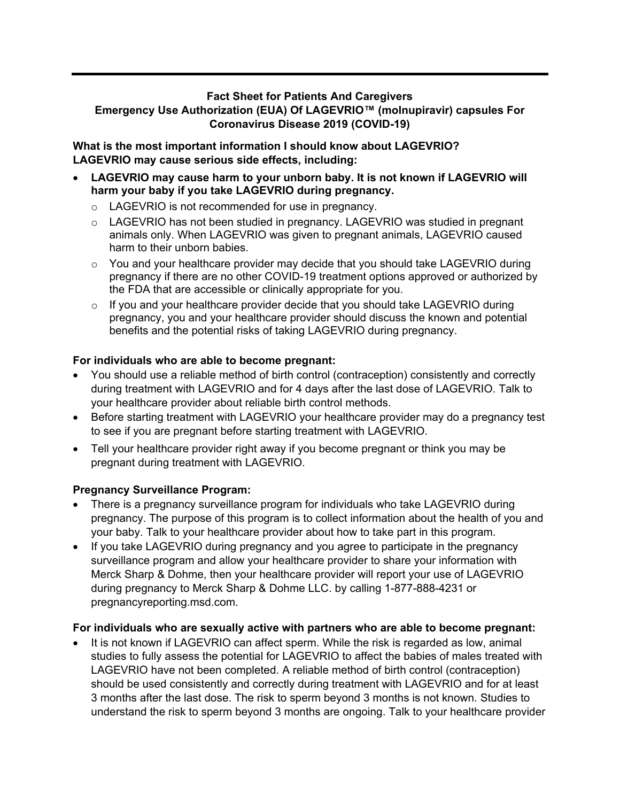## **Fact Sheet for Patients And Caregivers Emergency Use Authorization (EUA) Of LAGEVRIO™ (molnupiravir) capsules For Coronavirus Disease 2019 (COVID-19)**

**What is the most important information I should know about LAGEVRIO? LAGEVRIO may cause serious side effects, including:**

- **LAGEVRIO may cause harm to your unborn baby. It is not known if LAGEVRIO will harm your baby if you take LAGEVRIO during pregnancy.**
	- o LAGEVRIO is not recommended for use in pregnancy.
	- o LAGEVRIO has not been studied in pregnancy. LAGEVRIO was studied in pregnant animals only. When LAGEVRIO was given to pregnant animals, LAGEVRIO caused harm to their unborn babies.
	- o You and your healthcare provider may decide that you should take LAGEVRIO during pregnancy if there are no other COVID-19 treatment options approved or authorized by the FDA that are accessible or clinically appropriate for you.
	- $\circ$  If you and your healthcare provider decide that you should take LAGEVRIO during pregnancy, you and your healthcare provider should discuss the known and potential benefits and the potential risks of taking LAGEVRIO during pregnancy.

## **For individuals who are able to become pregnant:**

- You should use a reliable method of birth control (contraception) consistently and correctly during treatment with LAGEVRIO and for 4 days after the last dose of LAGEVRIO. Talk to your healthcare provider about reliable birth control methods.
- Before starting treatment with LAGEVRIO your healthcare provider may do a pregnancy test to see if you are pregnant before starting treatment with LAGEVRIO.
- Tell your healthcare provider right away if you become pregnant or think you may be pregnant during treatment with LAGEVRIO.

# **Pregnancy Surveillance Program:**

- There is a pregnancy surveillance program for individuals who take LAGEVRIO during pregnancy. The purpose of this program is to collect information about the health of you and your baby. Talk to your healthcare provider about how to take part in this program.
- If you take LAGEVRIO during pregnancy and you agree to participate in the pregnancy surveillance program and allow your healthcare provider to share your information with Merck Sharp & Dohme, then your healthcare provider will report your use of LAGEVRIO during pregnancy to Merck Sharp & Dohme LLC. by calling 1-877-888-4231 or pregnancyreporting.msd.com.

#### **For individuals who are sexually active with partners who are able to become pregnant:**

It is not known if LAGEVRIO can affect sperm. While the risk is regarded as low, animal studies to fully assess the potential for LAGEVRIO to affect the babies of males treated with LAGEVRIO have not been completed. A reliable method of birth control (contraception) should be used consistently and correctly during treatment with LAGEVRIO and for at least 3 months after the last dose. The risk to sperm beyond 3 months is not known. Studies to understand the risk to sperm beyond 3 months are ongoing. Talk to your healthcare provider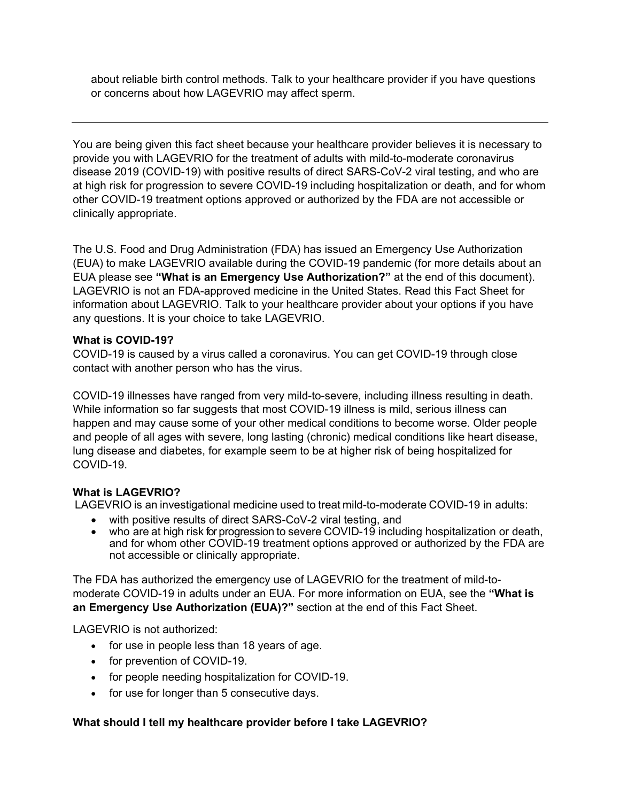about reliable birth control methods. Talk to your healthcare provider if you have questions or concerns about how LAGEVRIO may affect sperm.

You are being given this fact sheet because your healthcare provider believes it is necessary to provide you with LAGEVRIO for the treatment of adults with mild-to-moderate coronavirus disease 2019 (COVID-19) with positive results of direct SARS-CoV-2 viral testing, and who are at high risk for progression to severe COVID-19 including hospitalization or death, and for whom other COVID-19 treatment options approved or authorized by the FDA are not accessible or clinically appropriate.

The U.S. Food and Drug Administration (FDA) has issued an Emergency Use Authorization (EUA) to make LAGEVRIO available during the COVID-19 pandemic (for more details about an EUA please see **"What is an Emergency Use Authorization?"** at the end of this document). LAGEVRIO is not an FDA-approved medicine in the United States. Read this Fact Sheet for information about LAGEVRIO. Talk to your healthcare provider about your options if you have any questions. It is your choice to take LAGEVRIO.

## **What is COVID-19?**

COVID-19 is caused by a virus called a coronavirus. You can get COVID-19 through close contact with another person who has the virus.

COVID-19 illnesses have ranged from very mild-to-severe, including illness resulting in death. While information so far suggests that most COVID-19 illness is mild, serious illness can happen and may cause some of your other medical conditions to become worse. Older people and people of all ages with severe, long lasting (chronic) medical conditions like heart disease, lung disease and diabetes, for example seem to be at higher risk of being hospitalized for COVID-19.

# **What is LAGEVRIO?**

LAGEVRIO is an investigational medicine used to treat mild-to-moderate COVID-19 in adults:

- with positive results of direct SARS-CoV-2 viral testing, and
- who are at high risk for progression to severe COVID-19 including hospitalization or death, and for whom other COVID-19 treatment options approved or authorized by the FDA are not accessible or clinically appropriate.

The FDA has authorized the emergency use of LAGEVRIO for the treatment of mild-tomoderate COVID-19 in adults under an EUA. For more information on EUA, see the **"What is an Emergency Use Authorization (EUA)?"** section at the end of this Fact Sheet.

LAGEVRIO is not authorized:

- for use in people less than 18 years of age.
- for prevention of COVID-19.
- for people needing hospitalization for COVID-19.
- for use for longer than 5 consecutive days.

# **What should I tell my healthcare provider before I take LAGEVRIO?**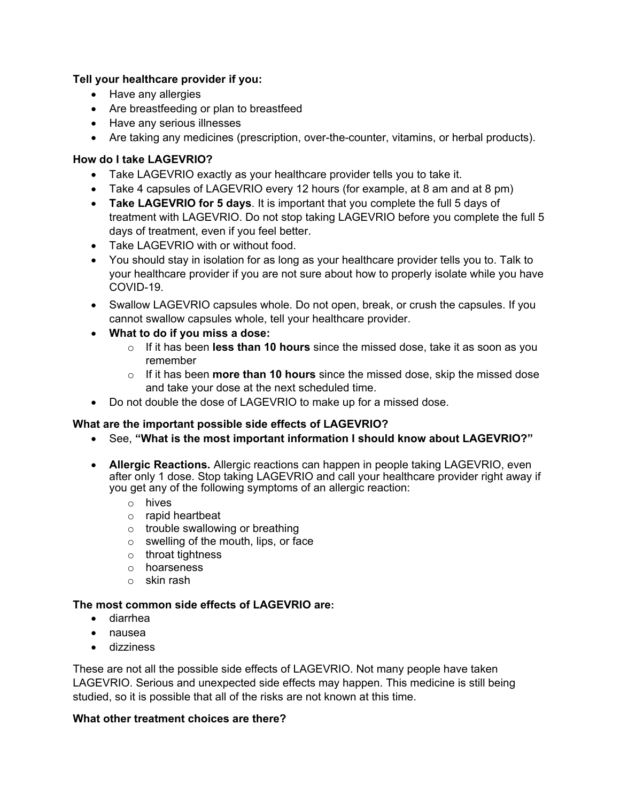# **Tell your healthcare provider if you:**

- Have any allergies
- Are breastfeeding or plan to breastfeed
- Have any serious illnesses
- Are taking any medicines (prescription, over-the-counter, vitamins, or herbal products).

#### **How do I take LAGEVRIO?**

- Take LAGEVRIO exactly as your healthcare provider tells you to take it.
- Take 4 capsules of LAGEVRIO every 12 hours (for example, at 8 am and at 8 pm)
- **Take LAGEVRIO for 5 days**. It is important that you complete the full 5 days of treatment with LAGEVRIO. Do not stop taking LAGEVRIO before you complete the full 5 days of treatment, even if you feel better.
- Take LAGEVRIO with or without food.
- You should stay in isolation for as long as your healthcare provider tells you to. Talk to your healthcare provider if you are not sure about how to properly isolate while you have COVID-19.
- Swallow LAGEVRIO capsules whole. Do not open, break, or crush the capsules. If you cannot swallow capsules whole, tell your healthcare provider.
- **What to do if you miss a dose:**
	- o If it has been **less than 10 hours** since the missed dose, take it as soon as you remember
	- o If it has been **more than 10 hours** since the missed dose, skip the missed dose and take your dose at the next scheduled time.
- Do not double the dose of LAGEVRIO to make up for a missed dose.

#### **What are the important possible side effects of LAGEVRIO?**

- See, **"What is the most important information I should know about LAGEVRIO?"**
- **Allergic Reactions.** Allergic reactions can happen in people taking LAGEVRIO, even after only 1 dose. Stop taking LAGEVRIO and call your healthcare provider right away if you get any of the following symptoms of an allergic reaction:
	- o hives
	- o rapid heartbeat
	- o trouble swallowing or breathing
	- o swelling of the mouth, lips, or face
	- o throat tightness
	- o hoarseness
	- o skin rash

#### **The most common side effects of LAGEVRIO are:**

- diarrhea
- nausea
- dizziness

These are not all the possible side effects of LAGEVRIO. Not many people have taken LAGEVRIO. Serious and unexpected side effects may happen. This medicine is still being studied, so it is possible that all of the risks are not known at this time.

#### **What other treatment choices are there?**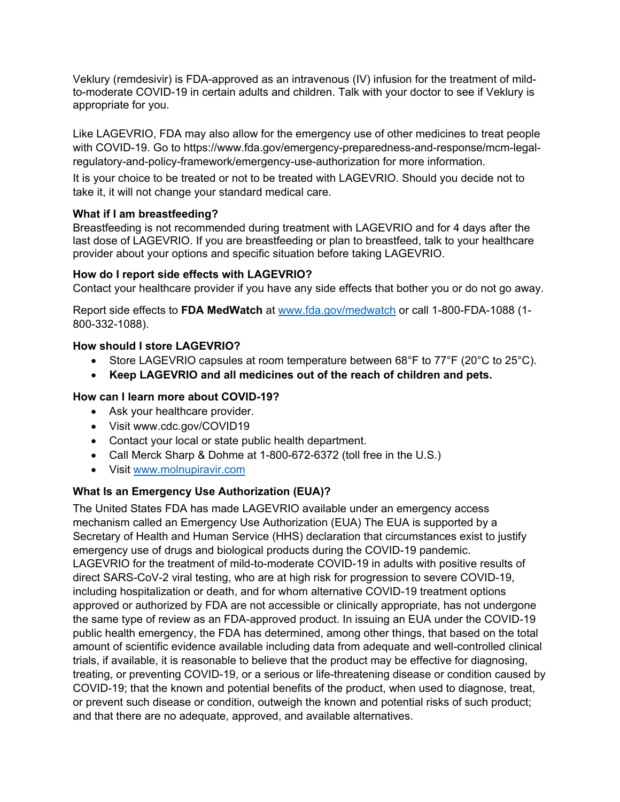Veklury (remdesivir) is FDA-approved as an intravenous (IV) infusion for the treatment of mildto-moderate COVID-19 in certain adults and children. Talk with your doctor to see if Veklury is appropriate for you.

Like LAGEVRIO, FDA may also allow for the emergency use of other medicines to treat people with COVID-19. Go to https://www.fda.gov/emergency-preparedness-and-response/mcm-legalregulatory-and-policy-framework/emergency-use-authorization for more information.

It is your choice to be treated or not to be treated with LAGEVRIO. Should you decide not to take it, it will not change your standard medical care.

## **What if I am breastfeeding?**

Breastfeeding is not recommended during treatment with LAGEVRIO and for 4 days after the last dose of LAGEVRIO. If you are breastfeeding or plan to breastfeed, talk to your healthcare provider about your options and specific situation before taking LAGEVRIO.

## **How do I report side effects with LAGEVRIO?**

Contact your healthcare provider if you have any side effects that bother you or do not go away.

Report side effects to **FDA MedWatch** at [www.fda.gov/medwatch](http://www.fda.gov/medwatch) or call 1-800-FDA-1088 (1- 800-332-1088).

## **How should I store LAGEVRIO?**

- Store LAGEVRIO capsules at room temperature between 68°F to 77°F (20°C to 25°C).
- **Keep LAGEVRIO and all medicines out of the reach of children and pets.**

## **How can I learn more about COVID-19?**

- Ask your healthcare provider.
- Visit www.cdc.gov/COVID19
- Contact your local or state public health department.
- Call Merck Sharp & Dohme at 1-800-672-6372 (toll free in the U.S.)
- Visit [www.molnupiravir.com](http://www.molnupiravir.com/)

# **What Is an Emergency Use Authorization (EUA)?**

The United States FDA has made LAGEVRIO available under an emergency access mechanism called an Emergency Use Authorization (EUA) The EUA is supported by a Secretary of Health and Human Service (HHS) declaration that circumstances exist to justify emergency use of drugs and biological products during the COVID-19 pandemic. LAGEVRIO for the treatment of mild-to-moderate COVID-19 in adults with positive results of direct SARS-CoV-2 viral testing, who are at high risk for progression to severe COVID-19, including hospitalization or death, and for whom alternative COVID-19 treatment options approved or authorized by FDA are not accessible or clinically appropriate, has not undergone the same type of review as an FDA-approved product. In issuing an EUA under the COVID-19 public health emergency, the FDA has determined, among other things, that based on the total amount of scientific evidence available including data from adequate and well-controlled clinical trials, if available, it is reasonable to believe that the product may be effective for diagnosing, treating, or preventing COVID-19, or a serious or life-threatening disease or condition caused by COVID-19; that the known and potential benefits of the product, when used to diagnose, treat, or prevent such disease or condition, outweigh the known and potential risks of such product; and that there are no adequate, approved, and available alternatives.